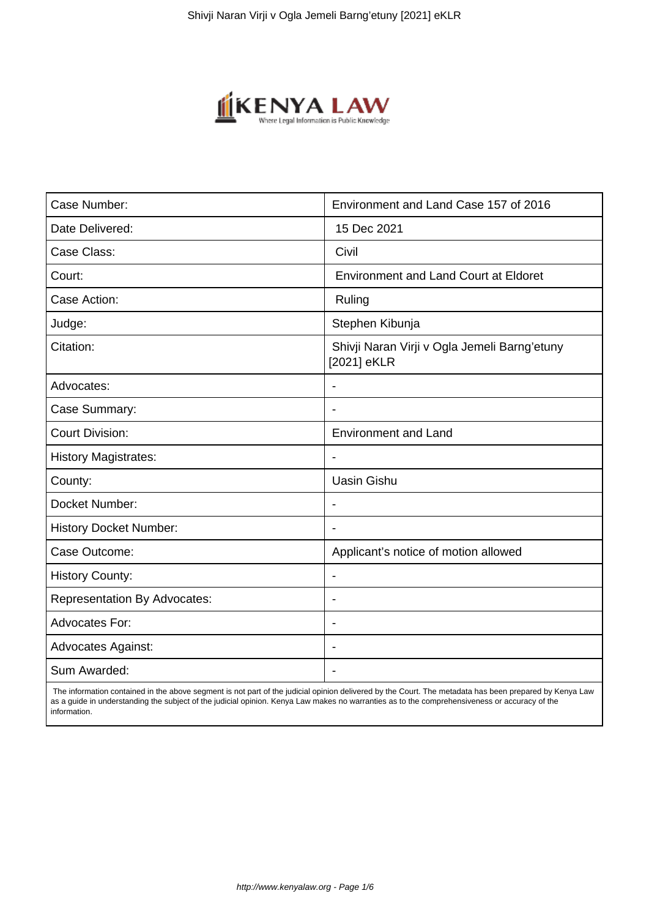

| Case Number:                        | Environment and Land Case 157 of 2016                       |
|-------------------------------------|-------------------------------------------------------------|
| Date Delivered:                     | 15 Dec 2021                                                 |
| Case Class:                         | Civil                                                       |
| Court:                              | <b>Environment and Land Court at Eldoret</b>                |
| Case Action:                        | Ruling                                                      |
| Judge:                              | Stephen Kibunja                                             |
| Citation:                           | Shivji Naran Virji v Ogla Jemeli Barng'etuny<br>[2021] eKLR |
| Advocates:                          | $\blacksquare$                                              |
| Case Summary:                       |                                                             |
| <b>Court Division:</b>              | <b>Environment and Land</b>                                 |
| <b>History Magistrates:</b>         | $\blacksquare$                                              |
| County:                             | <b>Uasin Gishu</b>                                          |
| Docket Number:                      |                                                             |
| <b>History Docket Number:</b>       |                                                             |
| Case Outcome:                       | Applicant's notice of motion allowed                        |
| <b>History County:</b>              | $\blacksquare$                                              |
| <b>Representation By Advocates:</b> | $\blacksquare$                                              |
| <b>Advocates For:</b>               | $\blacksquare$                                              |
| <b>Advocates Against:</b>           | ÷                                                           |
| Sum Awarded:                        |                                                             |

 The information contained in the above segment is not part of the judicial opinion delivered by the Court. The metadata has been prepared by Kenya Law as a guide in understanding the subject of the judicial opinion. Kenya Law makes no warranties as to the comprehensiveness or accuracy of the information.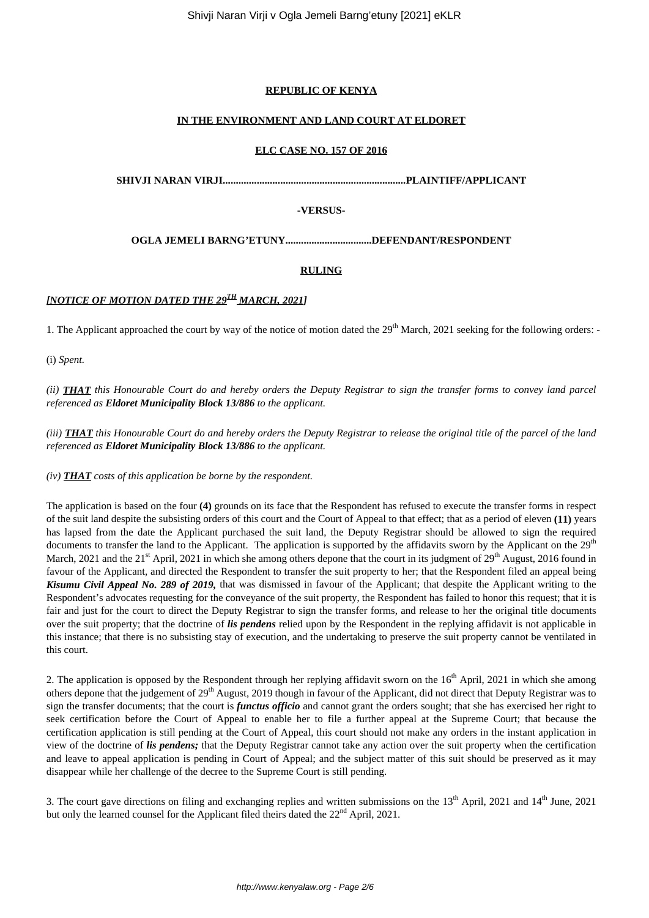## **REPUBLIC OF KENYA**

## **IN THE ENVIRONMENT AND LAND COURT AT ELDORET**

#### **ELC CASE NO. 157 OF 2016**

**SHIVJI NARAN VIRJI......................................................................PLAINTIFF/APPLICANT**

## **-VERSUS-**

**OGLA JEMELI BARNG'ETUNY.................................DEFENDANT/RESPONDENT**

## **RULING**

# *[NOTICE OF MOTION DATED THE 29TH MARCH, 2021]*

1. The Applicant approached the court by way of the notice of motion dated the  $29<sup>th</sup>$  March, 2021 seeking for the following orders: -

(i) *Spent.*

*(ii) THAT this Honourable Court do and hereby orders the Deputy Registrar to sign the transfer forms to convey land parcel referenced as Eldoret Municipality Block 13/886 to the applicant.*

*(iii) THAT this Honourable Court do and hereby orders the Deputy Registrar to release the original title of the parcel of the land referenced as Eldoret Municipality Block 13/886 to the applicant.*

*(iv) THAT costs of this application be borne by the respondent.*

The application is based on the four **(4)** grounds on its face that the Respondent has refused to execute the transfer forms in respect of the suit land despite the subsisting orders of this court and the Court of Appeal to that effect; that as a period of eleven **(11)** years has lapsed from the date the Applicant purchased the suit land, the Deputy Registrar should be allowed to sign the required documents to transfer the land to the Applicant. The application is supported by the affidavits sworn by the Applicant on the  $29<sup>th</sup>$ March, 2021 and the 21<sup>st</sup> April, 2021 in which she among others depone that the court in its judgment of  $29<sup>th</sup>$  August, 2016 found in favour of the Applicant, and directed the Respondent to transfer the suit property to her; that the Respondent filed an appeal being *Kisumu Civil Appeal No. 289 of 2019,* that was dismissed in favour of the Applicant; that despite the Applicant writing to the Respondent's advocates requesting for the conveyance of the suit property, the Respondent has failed to honor this request; that it is fair and just for the court to direct the Deputy Registrar to sign the transfer forms, and release to her the original title documents over the suit property; that the doctrine of *lis pendens* relied upon by the Respondent in the replying affidavit is not applicable in this instance; that there is no subsisting stay of execution, and the undertaking to preserve the suit property cannot be ventilated in this court.

2. The application is opposed by the Respondent through her replying affidavit sworn on the  $16<sup>th</sup>$  April, 2021 in which she among others depone that the judgement of 29<sup>th</sup> August, 2019 though in favour of the Applicant, did not direct that Deputy Registrar was to sign the transfer documents; that the court is *functus officio* and cannot grant the orders sought; that she has exercised her right to seek certification before the Court of Appeal to enable her to file a further appeal at the Supreme Court; that because the certification application is still pending at the Court of Appeal, this court should not make any orders in the instant application in view of the doctrine of *lis pendens;* that the Deputy Registrar cannot take any action over the suit property when the certification and leave to appeal application is pending in Court of Appeal; and the subject matter of this suit should be preserved as it may disappear while her challenge of the decree to the Supreme Court is still pending.

3. The court gave directions on filing and exchanging replies and written submissions on the  $13<sup>th</sup>$  April, 2021 and  $14<sup>th</sup>$  June, 2021 but only the learned counsel for the Applicant filed theirs dated the 22<sup>nd</sup> April, 2021.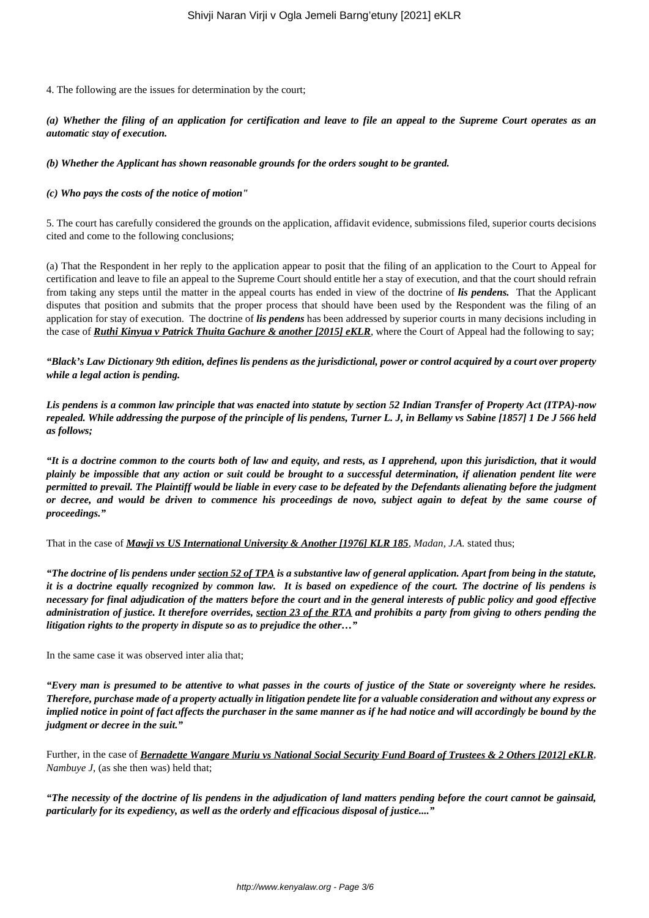4. The following are the issues for determination by the court;

*(a) Whether the filing of an application for certification and leave to file an appeal to the Supreme Court operates as an automatic stay of execution.*

*(b) Whether the Applicant has shown reasonable grounds for the orders sought to be granted.*

#### *(c) Who pays the costs of the notice of motion"*

5. The court has carefully considered the grounds on the application, affidavit evidence, submissions filed, superior courts decisions cited and come to the following conclusions;

(a) That the Respondent in her reply to the application appear to posit that the filing of an application to the Court to Appeal for certification and leave to file an appeal to the Supreme Court should entitle her a stay of execution, and that the court should refrain from taking any steps until the matter in the appeal courts has ended in view of the doctrine of *lis pendens.* That the Applicant disputes that position and submits that the proper process that should have been used by the Respondent was the filing of an application for stay of execution. The doctrine of *lis pendens* has been addressed by superior courts in many decisions including in the case of *Ruthi Kinyua v Patrick Thuita Gachure & another [2015] eKLR*, where the Court of Appeal had the following to say;

*"Black's Law Dictionary 9th edition, defines lis pendens as the jurisdictional, power or control acquired by a court over property while a legal action is pending.*

*Lis pendens is a common law principle that was enacted into statute by section 52 Indian Transfer of Property Act (ITPA)-now repealed. While addressing the purpose of the principle of lis pendens, Turner L. J, in Bellamy vs Sabine [1857] 1 De J 566 held as follows;*

*"It is a doctrine common to the courts both of law and equity, and rests, as I apprehend, upon this jurisdiction, that it would plainly be impossible that any action or suit could be brought to a successful determination, if alienation pendent lite were permitted to prevail. The Plaintiff would be liable in every case to be defeated by the Defendants alienating before the judgment or decree, and would be driven to commence his proceedings de novo, subject again to defeat by the same course of proceedings."*

That in the case of *Mawji vs US International University & Another [1976] KLR 185*, *Madan, J.A.* stated thus;

*"The doctrine of lis pendens under section 52 of TPA is a substantive law of general application. Apart from being in the statute, it is a doctrine equally recognized by common law. It is based on expedience of the court. The doctrine of lis pendens is necessary for final adjudication of the matters before the court and in the general interests of public policy and good effective administration of justice. It therefore overrides, section 23 of the RTA and prohibits a party from giving to others pending the litigation rights to the property in dispute so as to prejudice the other…"*

In the same case it was observed inter alia that;

*"Every man is presumed to be attentive to what passes in the courts of justice of the State or sovereignty where he resides. Therefore, purchase made of a property actually in litigation pendete lite for a valuable consideration and without any express or implied notice in point of fact affects the purchaser in the same manner as if he had notice and will accordingly be bound by the judgment or decree in the suit."*

Further, in the case of *Bernadette Wangare Muriu vs National Social Security Fund Board of Trustees & 2 Others [2012] eKLR*, *Nambuye J*, (as she then was) held that;

*"The necessity of the doctrine of lis pendens in the adjudication of land matters pending before the court cannot be gainsaid, particularly for its expediency, as well as the orderly and efficacious disposal of justice...."*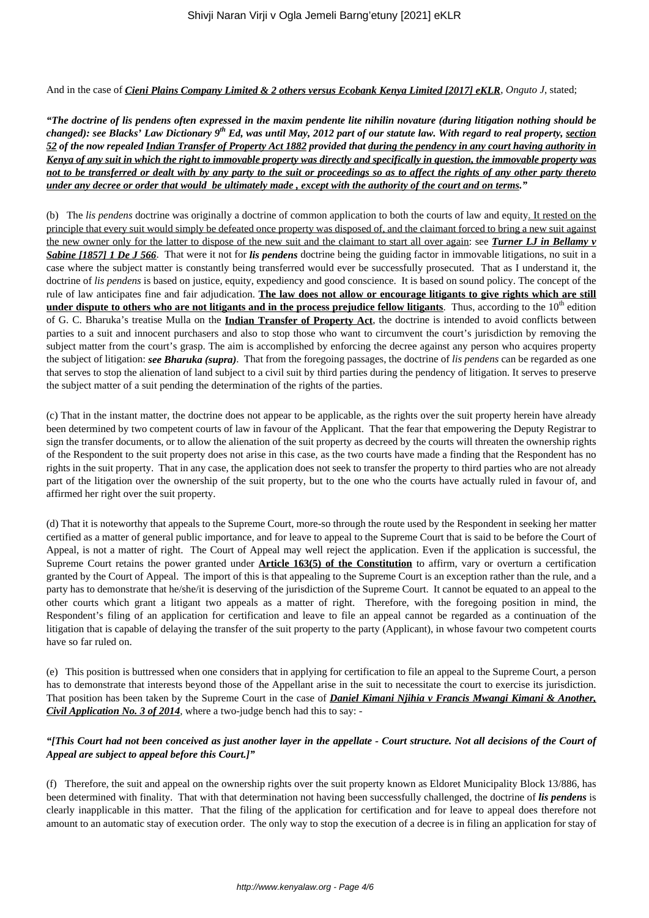And in the case of *Cieni Plains Company Limited & 2 others versus Ecobank Kenya Limited [2017] eKLR*, *Onguto J*, stated;

*"The doctrine of lis pendens often expressed in the maxim pendente lite nihilin novature (during litigation nothing should be changed): see Blacks' Law Dictionary 9th Ed, was until May, 2012 part of our statute law. With regard to real property, section 52 of the now repealed Indian Transfer of Property Act 1882 provided that during the pendency in any court having authority in Kenya of any suit in which the right to immovable property was directly and specifically in question, the immovable property was not to be transferred or dealt with by any party to the suit or proceedings so as to affect the rights of any other party thereto under any decree or order that would be ultimately made , except with the authority of the court and on terms."*

(b) The *lis pendens* doctrine was originally a doctrine of common application to both the courts of law and equity. It rested on the principle that every suit would simply be defeated once property was disposed of, and the claimant forced to bring a new suit against the new owner only for the latter to dispose of the new suit and the claimant to start all over again: see *Turner LJ in Bellamy v Sabine [1857] 1 De J 566*. That were it not for *lis pendens* doctrine being the guiding factor in immovable litigations, no suit in a case where the subject matter is constantly being transferred would ever be successfully prosecuted. That as I understand it, the doctrine of *lis pendens* is based on justice, equity, expediency and good conscience. It is based on sound policy. The concept of the rule of law anticipates fine and fair adjudication. **The law does not allow or encourage litigants to give rights which are still under dispute to others who are not litigants and in the process prejudice fellow litigants**. Thus, according to the 10<sup>th</sup> edition of G. C. Bharuka's treatise Mulla on the **Indian Transfer of Property Act**, the doctrine is intended to avoid conflicts between parties to a suit and innocent purchasers and also to stop those who want to circumvent the court's jurisdiction by removing the subject matter from the court's grasp. The aim is accomplished by enforcing the decree against any person who acquires property the subject of litigation: *see Bharuka (supra)*. That from the foregoing passages, the doctrine of *lis pendens* can be regarded as one that serves to stop the alienation of land subject to a civil suit by third parties during the pendency of litigation. It serves to preserve the subject matter of a suit pending the determination of the rights of the parties.

(c) That in the instant matter, the doctrine does not appear to be applicable, as the rights over the suit property herein have already been determined by two competent courts of law in favour of the Applicant. That the fear that empowering the Deputy Registrar to sign the transfer documents, or to allow the alienation of the suit property as decreed by the courts will threaten the ownership rights of the Respondent to the suit property does not arise in this case, as the two courts have made a finding that the Respondent has no rights in the suit property. That in any case, the application does not seek to transfer the property to third parties who are not already part of the litigation over the ownership of the suit property, but to the one who the courts have actually ruled in favour of, and affirmed her right over the suit property.

(d) That it is noteworthy that appeals to the Supreme Court, more-so through the route used by the Respondent in seeking her matter certified as a matter of general public importance, and for leave to appeal to the Supreme Court that is said to be before the Court of Appeal, is not a matter of right. The Court of Appeal may well reject the application. Even if the application is successful, the Supreme Court retains the power granted under **Article 163(5) of the Constitution** to affirm, vary or overturn a certification granted by the Court of Appeal. The import of this is that appealing to the Supreme Court is an exception rather than the rule, and a party has to demonstrate that he/she/it is deserving of the jurisdiction of the Supreme Court. It cannot be equated to an appeal to the other courts which grant a litigant two appeals as a matter of right. Therefore, with the foregoing position in mind, the Respondent's filing of an application for certification and leave to file an appeal cannot be regarded as a continuation of the litigation that is capable of delaying the transfer of the suit property to the party (Applicant), in whose favour two competent courts have so far ruled on.

(e) This position is buttressed when one considers that in applying for certification to file an appeal to the Supreme Court, a person has to demonstrate that interests beyond those of the Appellant arise in the suit to necessitate the court to exercise its jurisdiction. That position has been taken by the Supreme Court in the case of *Daniel Kimani Njihia v Francis Mwangi Kimani & Another, Civil Application No. 3 of 2014,* where a two-judge bench had this to say: -

#### *"[This Court had not been conceived as just another layer in the appellate - Court structure. Not all decisions of the Court of Appeal are subject to appeal before this Court.]"*

(f) Therefore, the suit and appeal on the ownership rights over the suit property known as Eldoret Municipality Block 13/886, has been determined with finality. That with that determination not having been successfully challenged, the doctrine of *lis pendens* is clearly inapplicable in this matter. That the filing of the application for certification and for leave to appeal does therefore not amount to an automatic stay of execution order. The only way to stop the execution of a decree is in filing an application for stay of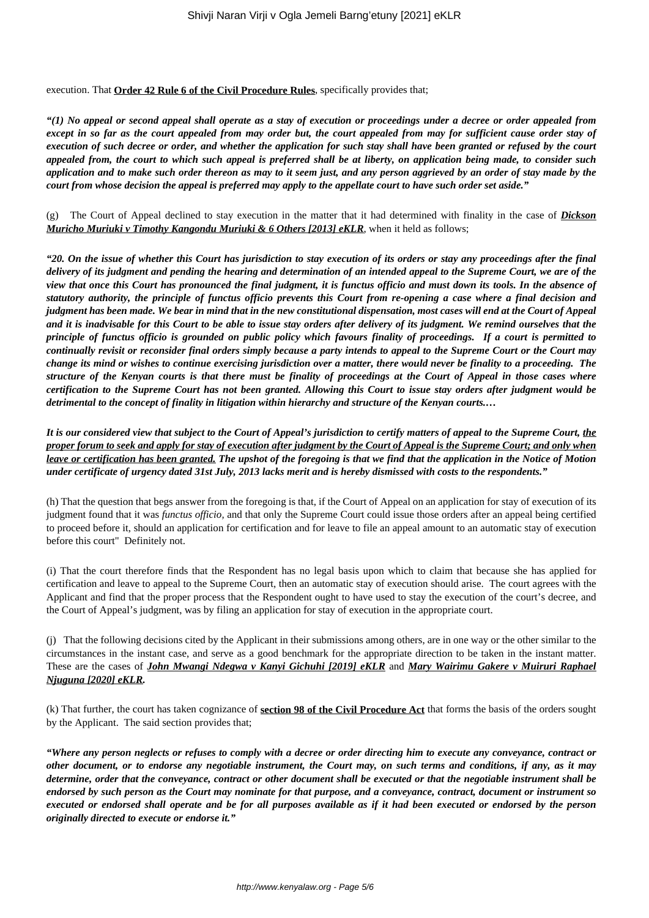execution. That **Order 42 Rule 6 of the Civil Procedure Rules**, specifically provides that;

*"(1) No appeal or second appeal shall operate as a stay of execution or proceedings under a decree or order appealed from except in so far as the court appealed from may order but, the court appealed from may for sufficient cause order stay of execution of such decree or order, and whether the application for such stay shall have been granted or refused by the court appealed from, the court to which such appeal is preferred shall be at liberty, on application being made, to consider such application and to make such order thereon as may to it seem just, and any person aggrieved by an order of stay made by the court from whose decision the appeal is preferred may apply to the appellate court to have such order set aside."*

(g) The Court of Appeal declined to stay execution in the matter that it had determined with finality in the case of *Dickson Muricho Muriuki v Timothy Kangondu Muriuki & 6 Others [2013] eKLR*, when it held as follows;

*"20. On the issue of whether this Court has jurisdiction to stay execution of its orders or stay any proceedings after the final delivery of its judgment and pending the hearing and determination of an intended appeal to the Supreme Court, we are of the view that once this Court has pronounced the final judgment, it is functus officio and must down its tools. In the absence of statutory authority, the principle of functus officio prevents this Court from re-opening a case where a final decision and judgment has been made. We bear in mind that in the new constitutional dispensation, most cases will end at the Court of Appeal and it is inadvisable for this Court to be able to issue stay orders after delivery of its judgment. We remind ourselves that the principle of functus officio is grounded on public policy which favours finality of proceedings. If a court is permitted to continually revisit or reconsider final orders simply because a party intends to appeal to the Supreme Court or the Court may change its mind or wishes to continue exercising jurisdiction over a matter, there would never be finality to a proceeding. The structure of the Kenyan courts is that there must be finality of proceedings at the Court of Appeal in those cases where certification to the Supreme Court has not been granted. Allowing this Court to issue stay orders after judgment would be detrimental to the concept of finality in litigation within hierarchy and structure of the Kenyan courts.…*

*It is our considered view that subject to the Court of Appeal's jurisdiction to certify matters of appeal to the Supreme Court, the proper forum to seek and apply for stay of execution after judgment by the Court of Appeal is the Supreme Court; and only when leave or certification has been granted. The upshot of the foregoing is that we find that the application in the Notice of Motion under certificate of urgency dated 31st July, 2013 lacks merit and is hereby dismissed with costs to the respondents."*

(h) That the question that begs answer from the foregoing is that, if the Court of Appeal on an application for stay of execution of its judgment found that it was *functus officio,* and that only the Supreme Court could issue those orders after an appeal being certified to proceed before it, should an application for certification and for leave to file an appeal amount to an automatic stay of execution before this court" Definitely not.

(i) That the court therefore finds that the Respondent has no legal basis upon which to claim that because she has applied for certification and leave to appeal to the Supreme Court, then an automatic stay of execution should arise. The court agrees with the Applicant and find that the proper process that the Respondent ought to have used to stay the execution of the court's decree, and the Court of Appeal's judgment, was by filing an application for stay of execution in the appropriate court.

(j) That the following decisions cited by the Applicant in their submissions among others, are in one way or the other similar to the circumstances in the instant case, and serve as a good benchmark for the appropriate direction to be taken in the instant matter. These are the cases of *John Mwangi Ndegwa v Kanyi Gichuhi [2019] eKLR* and *Mary Wairimu Gakere v Muiruri Raphael Njuguna [2020] eKLR.*

(k) That further, the court has taken cognizance of **section 98 of the Civil Procedure Act** that forms the basis of the orders sought by the Applicant. The said section provides that;

*"Where any person neglects or refuses to comply with a decree or order directing him to execute any conveyance, contract or other document, or to endorse any negotiable instrument, the Court may, on such terms and conditions, if any, as it may determine, order that the conveyance, contract or other document shall be executed or that the negotiable instrument shall be endorsed by such person as the Court may nominate for that purpose, and a conveyance, contract, document or instrument so executed or endorsed shall operate and be for all purposes available as if it had been executed or endorsed by the person originally directed to execute or endorse it."*